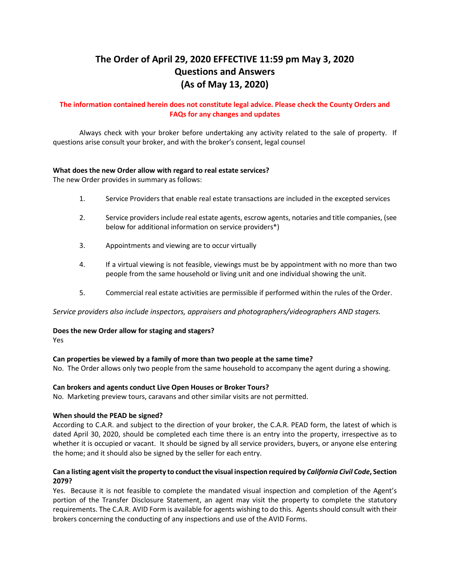# **The Order of April 29, 2020 EFFECTIVE 11:59 pm May 3, 2020 Questions and Answers (As of May 13, 2020)**

# **The information contained herein does not constitute legal advice. Please check the County Orders and FAQs for any changes and updates**

Always check with your broker before undertaking any activity related to the sale of property. If questions arise consult your broker, and with the broker's consent, legal counsel

## **What does the new Order allow with regard to real estate services?**

The new Order provides in summary as follows:

- 1. Service Providers that enable real estate transactions are included in the excepted services
- 2. Service providers include real estate agents, escrow agents, notaries and title companies, (see below for additional information on service providers\*)
- 3. Appointments and viewing are to occur virtually
- 4. If a virtual viewing is not feasible, viewings must be by appointment with no more than two people from the same household or living unit and one individual showing the unit.
- 5. Commercial real estate activities are permissible if performed within the rules of the Order.

*Service providers also include inspectors, appraisers and photographers/videographers AND stagers.* 

## **Does the new Order allow for staging and stagers?**

Yes

## **Can properties be viewed by a family of more than two people at the same time?**

No. The Order allows only two people from the same household to accompany the agent during a showing.

## **Can brokers and agents conduct Live Open Houses or Broker Tours?**

No. Marketing preview tours, caravans and other similar visits are not permitted.

## **When should the PEAD be signed?**

According to C.A.R. and subject to the direction of your broker, the C.A.R. PEAD form, the latest of which is dated April 30, 2020, should be completed each time there is an entry into the property, irrespective as to whether it is occupied or vacant. It should be signed by all service providers, buyers, or anyone else entering the home; and it should also be signed by the seller for each entry.

# **Can a listing agent visit the property to conduct the visual inspection required by** *California Civil Code***, Section 2079?**

Yes. Because it is not feasible to complete the mandated visual inspection and completion of the Agent's portion of the Transfer Disclosure Statement, an agent may visit the property to complete the statutory requirements. The C.A.R. AVID Form is available for agents wishing to do this. Agents should consult with their brokers concerning the conducting of any inspections and use of the AVID Forms.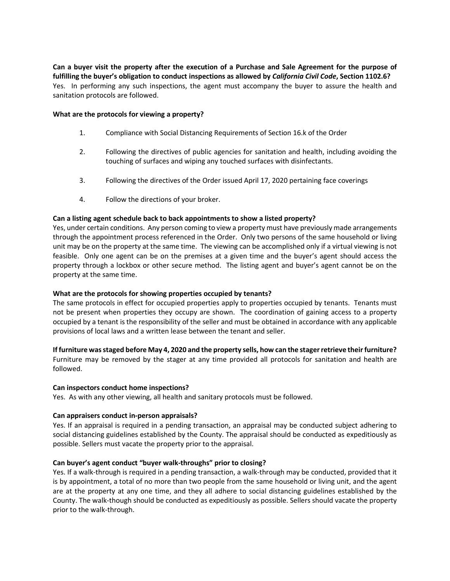**Can a buyer visit the property after the execution of a Purchase and Sale Agreement for the purpose of fulfilling the buyer's obligation to conduct inspections as allowed by** *California Civil Code***, Section 1102.6?** Yes. In performing any such inspections, the agent must accompany the buyer to assure the health and sanitation protocols are followed.

#### **What are the protocols for viewing a property?**

- 1. Compliance with Social Distancing Requirements of Section 16.k of the Order
- 2. Following the directives of public agencies for sanitation and health, including avoiding the touching of surfaces and wiping any touched surfaces with disinfectants.
- 3. Following the directives of the Order issued April 17, 2020 pertaining face coverings
- 4. Follow the directions of your broker.

## **Can a listing agent schedule back to back appointments to show a listed property?**

Yes, under certain conditions. Any person coming to view a property must have previously made arrangements through the appointment process referenced in the Order. Only two persons of the same household or living unit may be on the property at the same time. The viewing can be accomplished only if a virtual viewing is not feasible. Only one agent can be on the premises at a given time and the buyer's agent should access the property through a lockbox or other secure method. The listing agent and buyer's agent cannot be on the property at the same time.

## **What are the protocols for showing properties occupied by tenants?**

The same protocols in effect for occupied properties apply to properties occupied by tenants. Tenants must not be present when properties they occupy are shown. The coordination of gaining access to a property occupied by a tenant is the responsibility of the seller and must be obtained in accordance with any applicable provisions of local laws and a written lease between the tenant and seller.

## **If furniture was staged before May 4, 2020 and the property sells, how can the stager retrieve their furniture?**

Furniture may be removed by the stager at any time provided all protocols for sanitation and health are followed.

## **Can inspectors conduct home inspections?**

Yes. As with any other viewing, all health and sanitary protocols must be followed.

## **Can appraisers conduct in-person appraisals?**

Yes. If an appraisal is required in a pending transaction, an appraisal may be conducted subject adhering to social distancing guidelines established by the County. The appraisal should be conducted as expeditiously as possible. Sellers must vacate the property prior to the appraisal.

## **Can buyer's agent conduct "buyer walk-throughs" prior to closing?**

Yes. If a walk-through is required in a pending transaction, a walk-through may be conducted, provided that it is by appointment, a total of no more than two people from the same household or living unit, and the agent are at the property at any one time, and they all adhere to social distancing guidelines established by the County. The walk-though should be conducted as expeditiously as possible. Sellers should vacate the property prior to the walk-through.